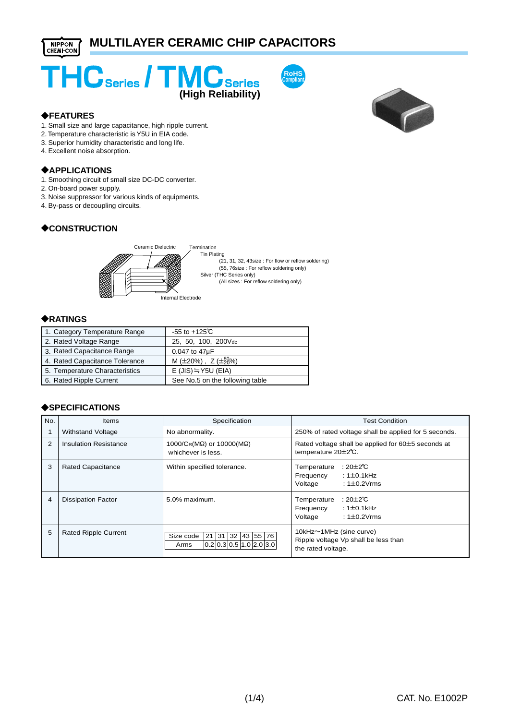





#### ?**FEATURES**

- 1. Small size and large capacitance, high ripple current.
- 2. Temperature characteristic is Y5U in EIA code.
- 3. Superior humidity characteristic and long life.
- 4. Excellent noise absorption.

#### ?**APPLICATIONS**

- 1. Smoothing circuit of small size DC-DC converter.
- 2. On-board power supply.
- 3. Noise suppressor for various kinds of equipments.
- 4. By-pass or decoupling circuits.

# ?**CONSTRUCTION**



#### ?**RATINGS**

| 1. Category Temperature Range  | $-55$ to $+125^{\circ}$ C              |
|--------------------------------|----------------------------------------|
| 2. Rated Voltage Range         | 25, 50, 100, 200Vdc                    |
| 3. Rated Capacitance Range     | 0.047 to 47µF                          |
| 4. Rated Capacitance Tolerance | M ( $\pm$ 20%), Z ( $\pm_{20}^{80}$ %) |
| 5. Temperature Characteristics | $E$ (JIS) $\equiv$ Y5U (EIA)           |
| 6. Rated Ripple Current        | See No.5 on the following table        |

#### ?**SPECIFICATIONS**

| No.            | Items                       | Specification                                                                   | <b>Test Condition</b>                                                                        |  |  |
|----------------|-----------------------------|---------------------------------------------------------------------------------|----------------------------------------------------------------------------------------------|--|--|
|                | <b>Withstand Voltage</b>    | No abnormality.                                                                 | 250% of rated voltage shall be applied for 5 seconds.                                        |  |  |
| $\overline{2}$ | Insulation Resistance       | 1000/CR(MΩ) or 10000(MΩ)<br>whichever is less.                                  | Rated voltage shall be applied for 60±5 seconds at<br>temperature 20±2°C.                    |  |  |
| 3              | <b>Rated Capacitance</b>    | Within specified tolerance.                                                     | : 20 $\pm$ 2°C<br>Temperature<br>$:1\pm0.1$ kHz<br>Frequency<br>Voltage<br>: $1\pm 0.2$ Vrms |  |  |
| 4              | <b>Dissipation Factor</b>   | 5.0% maximum.                                                                   | : 20±2℃<br>Temperature<br>$:1\pm0.1$ kHz<br>Frequency<br>Voltage<br>: $1\pm 0.2$ Vrms        |  |  |
| 5              | <b>Rated Ripple Current</b> | 21   31   32   43   55   76  <br>Size code<br> 0.2 0.3 0.5 1.0 2.0 3.0 <br>Arms | 10kHz~1MHz (sine curve)<br>Ripple voltage Vp shall be less than<br>the rated voltage.        |  |  |

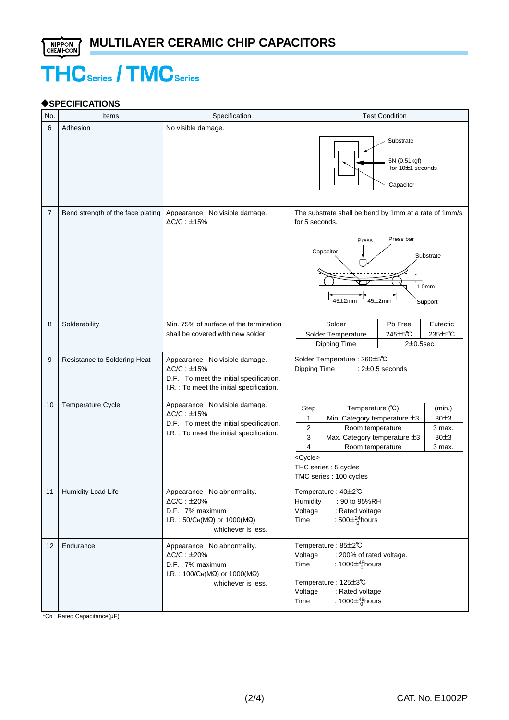# **THC** Series / **TMC** Series

# ?**SPECIFICATIONS**

| No.            | Items                             | Specification                                                                                                                                        | <b>Test Condition</b>                                                                                                                                                                                                                                                                                 |  |  |  |
|----------------|-----------------------------------|------------------------------------------------------------------------------------------------------------------------------------------------------|-------------------------------------------------------------------------------------------------------------------------------------------------------------------------------------------------------------------------------------------------------------------------------------------------------|--|--|--|
| 6              | Adhesion                          | No visible damage.                                                                                                                                   | Substrate<br>5N (0.51kgf)<br>for 10±1 seconds<br>Capacitor                                                                                                                                                                                                                                            |  |  |  |
| $\overline{7}$ | Bend strength of the face plating | Appearance : No visible damage.<br>$\Delta$ C/C : $\pm$ 15%                                                                                          | The substrate shall be bend by 1mm at a rate of 1mm/s<br>for 5 seconds.<br>Press bar<br>Press<br>Capacitor<br>Substrate<br>1.0 <sub>mm</sub><br>45±2mm<br>45 $\pm$ 2mm<br>Support                                                                                                                     |  |  |  |
| 8              | Solderability                     | Min. 75% of surface of the termination<br>shall be covered with new solder                                                                           | Solder<br>Pb Free<br>Eutectic<br>245±5℃<br>235±5℃<br>Solder Temperature<br>Dipping Time<br>$2\pm0.5$ sec.                                                                                                                                                                                             |  |  |  |
| 9              | Resistance to Soldering Heat      | Appearance : No visible damage.<br>$\Delta C/C : \pm 15\%$<br>D.F. : To meet the initial specification.<br>I.R. : To meet the initial specification. | Solder Temperature : 260±5℃<br>Dipping Time<br>: 2±0.5 seconds                                                                                                                                                                                                                                        |  |  |  |
| 10             | Temperature Cycle                 | Appearance : No visible damage.<br>$\Delta C/C : \pm 15\%$<br>D.F. : To meet the initial specification.<br>I.R. : To meet the initial specification. | Step<br>Temperature (°C)<br>(min.)<br>1<br>Min. Category temperature ±3<br>30±3<br>$\overline{2}$<br>3 max.<br>Room temperature<br>3<br>30±3<br>Max. Category temperature ±3<br>$\overline{4}$<br>Room temperature<br>3 max.<br><cycle><br/>THC series : 5 cycles<br/>TMC series : 100 cycles</cycle> |  |  |  |
| 11             | Humidity Load Life                | Appearance : No abnormality.<br>$\Delta C/C : \pm 20\%$<br>D.F.: 7% maximum<br>I.R.: $50/C_R(M\Omega)$ or $1000(M\Omega)$<br>whichever is less.      | Temperature: 40±2℃<br><b>Humidity</b><br>: 90 to 95%RH<br>Voltage<br>: Rated voltage<br>: 500 $\pm^{24}_{0}$ hours<br>Time                                                                                                                                                                            |  |  |  |
| 12             | Endurance                         | Appearance : No abnormality.<br>$\Delta C/C : \pm 20\%$<br>D.F.: 7% maximum<br>I.R.: $100/C_R(M\Omega)$ or $1000(M\Omega)$<br>whichever is less.     | Temperature: 85±2°C<br>: 200% of rated voltage.<br>Voltage<br>: 1000 $\pm^{48}_{0}$ hours<br>Time<br>Temperature : 125±3℃<br>Voltage<br>: Rated voltage<br>: 1000 $\pm^{48}_{0}$ hours<br>Time                                                                                                        |  |  |  |

 $*$ CR : Rated Capacitance( $\mu$ F)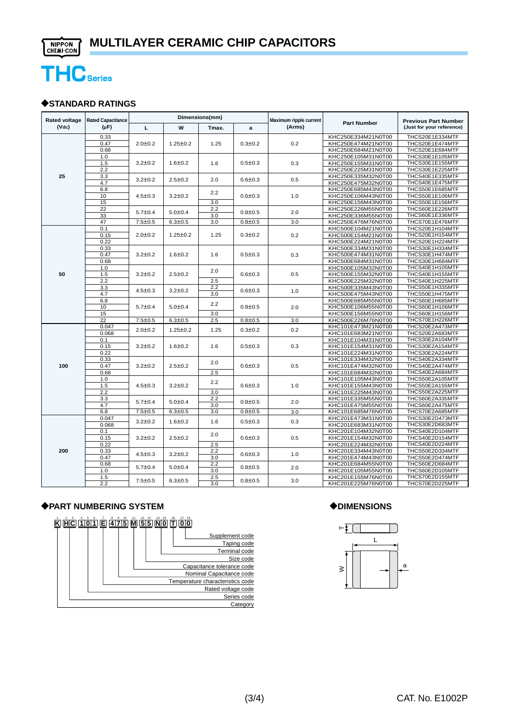

#### ?**STANDARD RATINGS**

| <b>Rated voltage</b> | <b>Rated Capacitance</b><br>$(\mu F)$ | Dimensions(mm) |                                |                   |                              | Maximum ripple current |                    |                                                          |
|----------------------|---------------------------------------|----------------|--------------------------------|-------------------|------------------------------|------------------------|--------------------|----------------------------------------------------------|
| (Vdc)                |                                       | L              | W                              | Tmax.             | a                            | (Arms)                 | <b>Part Number</b> | <b>Previous Part Number</b><br>(Just for your reference) |
|                      | 0.33                                  |                |                                |                   |                              |                        | KHC250E334M21N0T00 | THCS20E1E334MTF                                          |
|                      | 0.47                                  | 2.0 ± 0.2      | $1.25 \pm 0.2$                 | 1.25              | $0.3 \pm 0.2$                | 0.2                    | KHC250E474M21N0T00 | THCS20E1E474MTF                                          |
|                      | 0.68                                  |                |                                |                   |                              |                        | KHC250E684M21N0T00 | THCS20E1E684MTF                                          |
|                      | 1.0                                   |                |                                |                   |                              |                        | KHC250E105M31N0T00 | THCS30E1E105MTF                                          |
|                      | 1.5                                   | $3.2 \pm 0.2$  | $1.6 \pm 0.2$                  | 1.6               | $0.5 \pm 0.3$                | 0.3                    | KHC250E155M31N0T00 | THCS30E1E155MTF                                          |
|                      | 2.2                                   |                |                                |                   |                              |                        | KHC250E225M31N0T00 | THCS30E1E225MTF                                          |
| 25                   | 3.3                                   | $3.2 \pm 0.2$  | $2.5 \pm 0.2$                  | 2.0               | $0.6 + 0.3$                  | 0.5                    | KHC250E335M32N0T00 | THCS40E1E335MTF                                          |
|                      | 4.7                                   |                |                                |                   |                              |                        | KHC250E475M32N0T00 | THCS40E1E475MTF                                          |
|                      | 6.8                                   |                | $3.2 \pm 0.2$                  |                   |                              | 1.0                    | KHC250E685M43N0T00 | THCS50E1E685MTF                                          |
|                      | 10                                    | $4.5 \pm 0.3$  |                                | 2.2               | $0.6 \pm 0.3$                |                        | KHC250E106M43N0T00 | THCS50E1E106MTF                                          |
|                      | 15                                    |                |                                | 3.0               |                              |                        | KHC250E156M43N0T00 | THCS50E1E156MTF                                          |
|                      | 22                                    |                |                                | 2.2               |                              |                        | KHC250E226M55N0T00 | THCS60E1E226MTF                                          |
|                      | 33                                    | $5.7 \pm 0.4$  | $5.0 + 0.4$                    | 3.0               | $0.8 + 0.5$                  | 2.0                    | KHC250E336M55N0T00 | THCS60E1E336MTF                                          |
|                      | 47                                    | $7.5 \pm 0.5$  | $6.3 + 0.5$                    | 3.0               | $0.8 + 0.5$                  | 3.0                    | KHC250E476M76N0T00 | THCS70E1E476MTF                                          |
|                      | 0.1                                   |                |                                | 1.25              | $0.3 \pm 0.2$                |                        | KHC500E104M21N0T00 | THCS20E1H104MTF                                          |
|                      | 0.15                                  | 2.0 ± 0.2      | $1.25 \pm 0.2$                 |                   |                              | 0.2                    | KHC500E154M21N0T00 | THCS20E1H154MTF                                          |
|                      | 0.22                                  |                |                                |                   |                              |                        | KHC500E224M21N0T00 | THCS20E1H224MTF                                          |
|                      | 0.33                                  |                |                                |                   |                              |                        | KHC500E334M31N0T00 | THCS30E1H334MTF                                          |
|                      | 0.47                                  | $3.2 \pm 0.2$  | $1.6 \pm 0.2$                  | 1.6               | $0.5 + 0.3$                  | 0.3                    | KHC500E474M31N0T00 | THCS30E1H474MTF                                          |
|                      | 0.68                                  |                |                                |                   |                              |                        | KHC500E684M31N0T00 | THCS30E1H684MTF                                          |
|                      | 1.0                                   |                |                                |                   |                              |                        | KHC500E105M32N0T00 | THCS40E1H105MTF                                          |
| 50                   | 1.5                                   | $3.2 \pm 0.2$  | $2.5 \pm 0.2$                  | 2.0               | $0.6 + 0.3$                  | 0.5                    | KHC500E155M32N0T00 | THCS40E1H155MTF                                          |
|                      | 2.2                                   |                |                                | 2.5               |                              |                        | KHC500E225M32N0T00 | THCS40E1H225MTF                                          |
|                      | 3.3                                   | $4.5 \pm 0.3$  | $3.2 \pm 0.2$                  | 2.2               | $0.6 + 0.3$                  | 1.0                    | KHC500E335M43N0T00 | THCS50E1H335MTF                                          |
|                      | 4.7                                   |                |                                | 3.0               |                              |                        | KHC500E475M43N0T00 | THCS50E1H475MTF                                          |
|                      | 6.8                                   | $5.7 \pm 0.4$  | $5.0 + 0.4$                    | 2.2               | $0.8 + 0.5$                  | 2.0                    | KHC500E685M55N0T00 | THCS60E1H685MTF                                          |
|                      | 10                                    |                |                                |                   |                              |                        | KHC500E106M55N0T00 | THCS60E1H106MTF                                          |
|                      | 15                                    |                |                                | 3.0               |                              |                        | KHC500E156M55N0T00 | THCS60E1H156MTF                                          |
|                      | 22                                    | $7.5 \pm 0.5$  | $6.3 \pm 0.5$                  | 2.5               | $0.8 + 0.5$                  | 3.0                    | KHC500E226M76N0T00 | THCS70E1H226MTF                                          |
|                      | 0.047                                 |                | $1.25 \pm 0.2$                 | 1.25              | $0.3 \pm 0.2$                |                        | KHC101E473M21N0T00 | THCS20E2A473MTF                                          |
|                      | 0.068                                 | 2.0 ± 0.2      |                                |                   |                              | 0.2                    | KHC101E683M21N0T00 | THCS20E2A683MTF                                          |
|                      | 0.1                                   |                | $1.6 \pm 0.2$<br>$2.5 \pm 0.2$ | 1.6<br>2.0<br>2.5 | $0.5 \pm 0.3$<br>$0.6 + 0.3$ | 0.3                    | KHC101E104M31N0T00 | THCS30E2A104MTF                                          |
|                      | 0.15                                  | $3.2 \pm 0.2$  |                                |                   |                              |                        | KHC101E154M31N0T00 | THCS30E2A154MTF                                          |
|                      | 0.22                                  |                |                                |                   |                              |                        | KHC101E224M31N0T00 | THCS30E2A224MTF                                          |
|                      | 0.33                                  |                |                                |                   |                              |                        | KHC101E334M32N0T00 | THCS40E2A334MTF                                          |
| 100                  | 0.47                                  | $3.2 \pm 0.2$  |                                |                   |                              | 0.5                    | KHC101E474M32N0T00 | THCS40E2A474MTF                                          |
|                      | 0.68                                  |                |                                |                   |                              |                        | KHC101E684M32N0T00 | THCS40E2A684MTF                                          |
|                      | 1.0                                   | $4.5 \pm 0.3$  | $3.2 \pm 0.2$                  | 2.2<br>3.0        | $0.6 + 0.3$                  | 1.0                    | KHC101E105M43N0T00 | THCS50E2A105MTF                                          |
|                      | 1.5                                   |                |                                |                   |                              |                        | KHC101E155M43N0T00 | THCS50E2A155MTF                                          |
|                      | 2.2                                   |                |                                |                   |                              |                        | KHC101E225M43N0T00 | THCS50E2A225MTF                                          |
|                      | 3.3                                   |                |                                | 2.2               |                              |                        | KHC101E335M55N0T00 | THCS60E2A335MTF                                          |
|                      | 4.7                                   | $5.7 \pm 0.4$  | $5.0 + 0.4$                    | 3.0               | $0.8 + 0.5$                  | 2.0                    | KHC101E475M55N0T00 | THCS60E2A475MTF                                          |
|                      | 6.8                                   | $7.5 \pm 0.5$  | $6.3 \pm 0.5$                  | 3.0               | $0.8 + 0.5$                  | 3.0                    | KHC101E685M76N0T00 | THCS70E2A685MTF                                          |
|                      | 0.047                                 |                |                                |                   |                              |                        | KHC201E473M31N0T00 | THCS30E2D473MTF                                          |
|                      | 0.068                                 | $3.2 \pm 0.2$  | $1.6 \pm 0.2$                  | 1.6               | $0.5 + 0.3$                  | 0.3                    | KHC201E683M31N0T00 | THCS30E2D683MTF                                          |
|                      | 0.1                                   |                |                                |                   |                              |                        | KHC201E104M32N0T00 | THCS40E2D104MTF                                          |
|                      | 0.15                                  | $3.2 \pm 0.2$  | $2.5 \pm 0.2$                  | 2.0               | $0.6 \pm 0.3$                | 0.5                    | KHC201E154M32N0T00 | THCS40E2D154MTF                                          |
|                      | 0.22                                  |                |                                | 2.5               |                              |                        | KHC201E224M32N0T00 | THCS40E2D224MTF                                          |
| 200                  | 0.33                                  |                |                                | 2.2               |                              |                        | KHC201E334M43N0T00 | THCS50E2D334MTF                                          |
|                      | 0.47                                  | $4.5 \pm 0.3$  | $3.2 \pm 0.2$                  | 3.0               | $0.6 \pm 0.3$                | 1.0                    | KHC201E474M43N0T00 | THCS50E2D474MTF                                          |
|                      | 0.68                                  | $5.7 \pm 0.4$  | $5.0 + 0.4$                    | 2.2               |                              |                        | KHC201E684M55N0T00 | THCS60E2D684MTF                                          |
|                      | 1.0                                   |                |                                | 3.0               | $0.8 + 0.5$                  | 2.0                    | KHC201E105M55N0T00 | THCS60E2D105MTF                                          |
|                      | 1.5                                   |                |                                | 2.5               |                              |                        | KHC201E155M76N0T00 | THCS70E2D155MTF                                          |
|                      | 2.2                                   | $7.5 \pm 0.5$  | $6.3 + 0.5$                    | 3.0               | $0.8 + 0.5$                  | 3.0                    | KHC201E225M76N0T00 | THCS70E2D225MTF                                          |

# ?**PART NUMBERING SYSTEM**



# ?**DIMENSIONS**